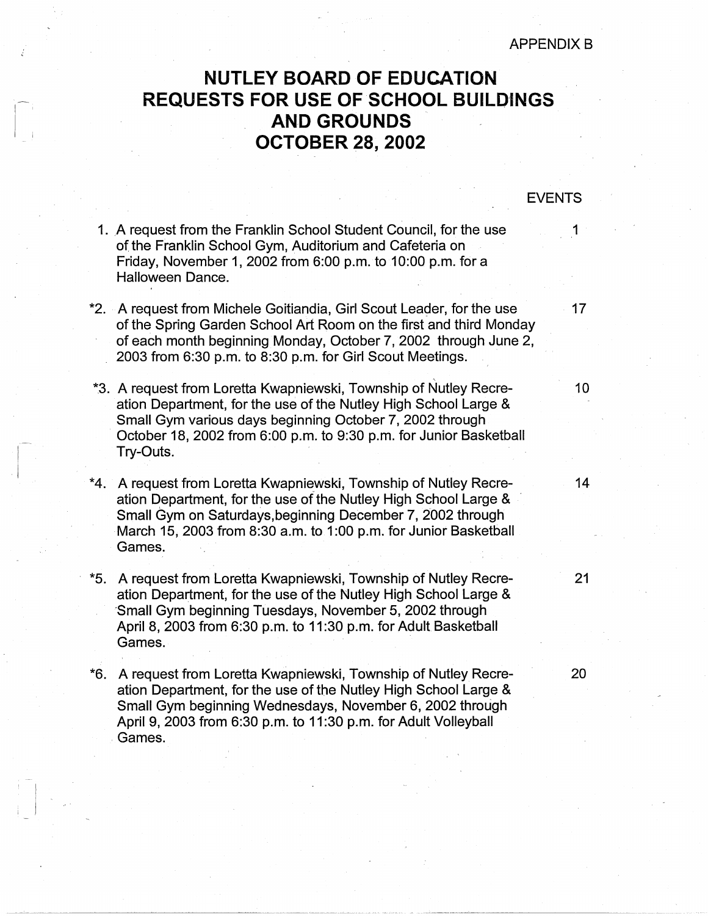## **NUTLEY BOARD OF EDUCATION REQUESTS FOR USE OF SCHOOL BUILD'INGS AND GROUNDS OCTOBER 28, 2002**

## EVENTS

- 1. A request from the Franklin School Student Council, for the use 1 of the Franklin School Gym, Auditorium and Cafeteria on Friday, November 1, 2002 from 6:00 p.m. to 10:00 p.m. for a Halloween Dance.
- \*2. A request from Michele Goitiandia, Girl Scout Leader, for the use  $\sim$  17 of the Spring Garden School Art Room on the first and third Monday of each month beginning Monday, October 7, 2002 through June 2, 2003 from 6:30 p.m. to 8:30 p.m. for Girl Scout Meetings.
- \*3. A request from Loretta Kwapniewski, Township of Nutley Recre- 10 ation Department, for the use of the Nutley High School Large & Small Gym various days beginning October 7, 2002 through October 18, 2002 from 6:00 p.m. to 9:30 p.m. for Junior Basketball Try-Outs.
- \*4. A request from Loretta Kwapniewski, Township of Nutley Recre- 14 ation Department, for the use of the Nutley High School Large & Small Gym on Saturdays, beginning December 7, 2002 through March 15, 2003 from 8:30 a.m. to 1:00 p.m. for Junior Basketball Games.
- \*5. A request from Loretta Kwapniewski, Township of Nutley Recre- 21 ation Department, for the use of the Nutley High School Large & ·small Gym beginning Tuesdays, November 5, 2002 through April 8, 2003 from 6:30 p.m. to 11 :30 p.m. for Adult Basketball Games.
- \*6. A request from Loretta Kwapniewski, Township of Nutley Recre- 20 ation Department, for the use of the Nutley High School Large & Small Gym beginning Wednesdays, November 6, 2002 through April 9, 2003 from 6:30 p.m. to 11 :30 p.m. for Adult Volleyball . Games.

 $\begin{array}{c} \begin{array}{c} \begin{array}{c} \end{array} \\ \begin{array}{c} \end{array} \end{array}$ 

----------------------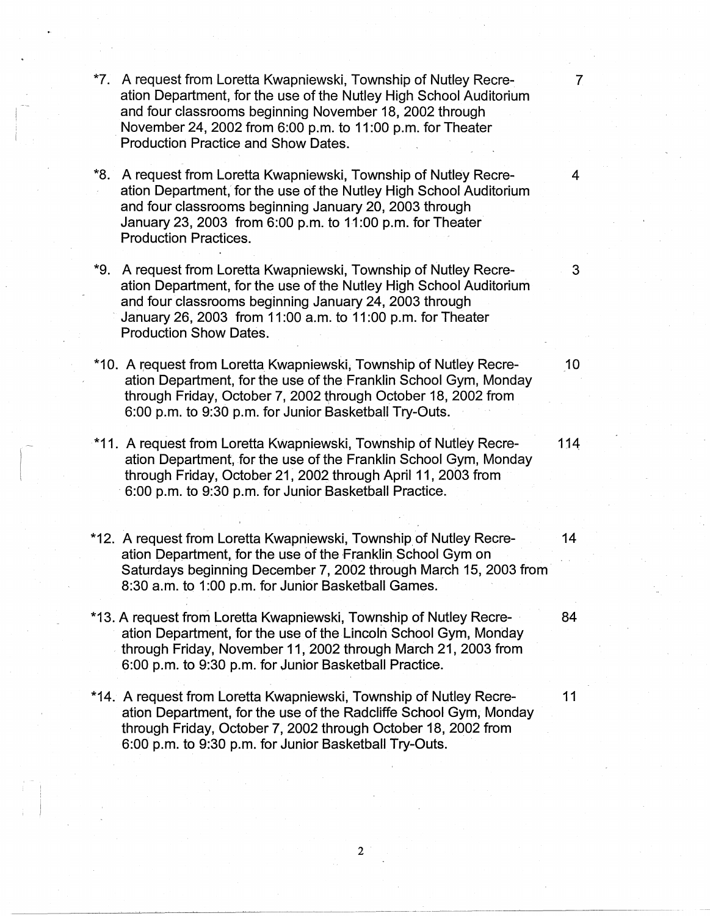- \*7. A request from Loretta Kwapniewski, Township of Nutley Recre- 7 ation Department, for the use of the Nutley High School Auditorium and four classrooms beginning November 18, 2002 through . November 24, 2002 from 6:00 p.m. to 11 :00 p.m. for Theater Production Practice and Show Dates.
- \*8. A request from Loretta Kwapniewski, Township of Nutley Recre- 4 ation Department, for the use of the Nutley High School Auditorium and four classrooms beginning January 20, 2003 through January 23, 2003 from 6:00 p.m. to 11:00 p.m. for Theater Production Practices.
- \*9. A request from Loretta Kwapniewski, Township of Nutley Recre- 3 ation Department, for the use of the Nutley High School Auditorium and four classrooms beginning January 24, 2003 through · January 26, 2003 from 11 :00 a.m. to 11 :00 p.m. for Theater Production Show Dates.
- \*10. A request from Loretta Kwapniewski, Township of Nutley Recre- 10 ation Department, for the use of the Franklin School Gym, Monday through Friday, October 7, 2002 through October 18, 2002 from 6:00 p.m. to 9:30 p.m. for Junior Basketball Try-Outs.
- \*11. A request from Loretta Kwapniewski, Township of Nutley Recre- 1 j4 ation Department, for the use of the Franklin School Gym, Monday through Friday, October 21; 2002 through April 11, 2003 from · 6:00 p.m. to 9:30 p.m. for Junior Basketball Practice.
- \*12. A request from Loretta Kwapniewski, Township of Nutley Recre- 14 ation Department, for the use of the Franklin School Gym on Saturdays beginning December 7, 2002 through March 15, 2003 from 8:30 a.m. to 1 :00 p.m. for Junior Basketball Games.
- \*13. A request from Loretta Kwapniewski, Township of Nutley Recre- · 84 ation Department, for the use of the Lincoln School Gym, Monday . through Friday, November 11, 2002 through March 21, 2003 from 6:00 p.m. to 9:30 p.m. for Junior Basketball Practice.
- \*14. A request from Loretta Kwapniewski, Township of Nutley Recre- 11 ation Department, for the use of the Radcliffe School Gym, Monday through Friday, October 7, 2002 through October 18, 2002 from 6:00 p.m. to 9:30 p.m. for Junior Basketball Try-Outs.

2

,  $\mathbb{R}$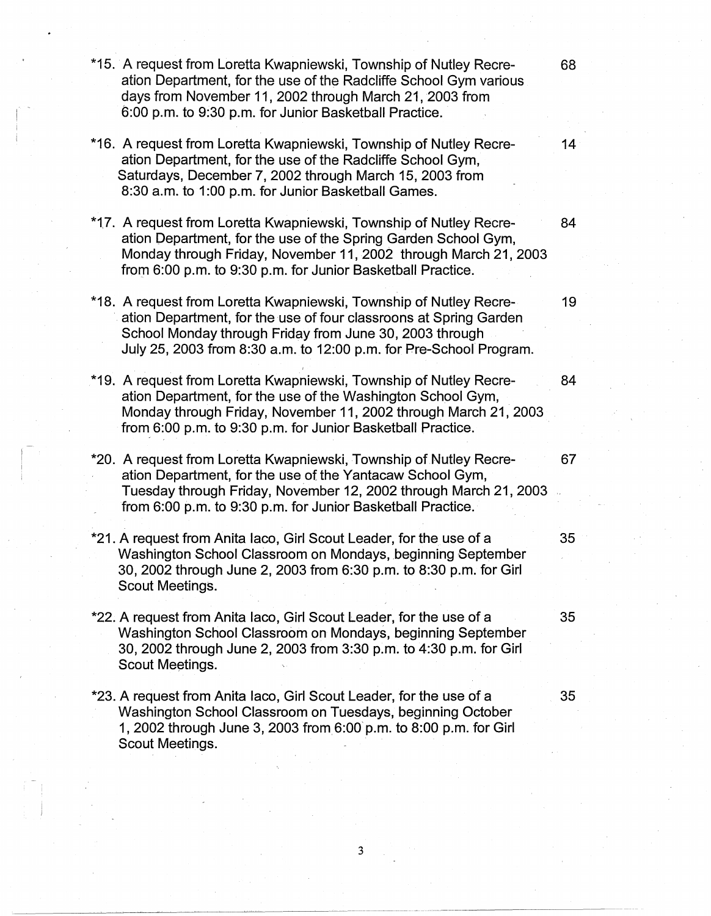\*15. A request from Loretta Kwapniewski, Township of Nutley Recre- 68 ation Department, for the use of the Radcliffe School Gym various days from November 11, 2002 through March 21, 2003 from 6:00 p.m. to 9:30 p.m. for Junior Basketball Practice. \*16. A request from Loretta Kwapniewski, Township of Nutley Recre- 14 ation Department, for the use of the Radcliffe School Gym, Saturdays, December 7, 2002 through March 15, 2003 from 8:30 a.m. to 1:00 p.m. for Junior Basketball Games. \*17. A request from Loretta Kwapniewski, Township of Nutley Recre- 84 ation Department, for the use of the Spring Garden School Gym, Monday through Friday, November 11, 2002 through March 21, 2003 from 6:00 p.m. to 9:30 p.m. for Junior Basketball Practice. \*18. A request from Loretta Kwapniewski, Township of Nutley Recre- 19 ation Department, for the use of four classroons at Spring Garden School Monday through Friday from June 30, 2003 through July 25, 2003 from 8:30 a.m. to 12:00 p.m. for Pre-School Program. \*19. A request from Loretta Kwapniewski, Township of Nutley Recre- 84 ation Department, for the use of the Washington School Gym, Monday through Friday, November 11, 2002 through March 21, 2003 from 6:00 p.m. to 9:30 p.m. for Junior Basketball Practice. \*20. A request from Loretta Kwapniewski, Township of Nutley Recre- 67 ation Department, for the use of the Yantacaw School Gym, Tuesday through Friday, November 12, 2002 through March 21, 2003 from 6:00 p.m. to 9:30 p.m. for Junior Basketball Practice. \*21. A request from Anita laco, Girl Scout Leader, for the use of a 35 Washington School Classroom on Mondays, beginning September 30, 2002 through June 2, 2003 from 6:30 p.m. to 8:30 p.m. for Girl Scout Meetings. \*22. A request from Anita laco, Girl Scout Leader, for the use of a 35 Washington School Classroom on Mondays, beginning September 30, 2002 through June 2, 2003 from 3:30 p.m. to 4:30 p.m. for Girl Scout Meetings. \*23. A request from Anita laco, Girl Scout Leader, for the use of a 35 Washington School Classroom on Tuesdays, beginning October 1, 2002 through June 3, 2003 from\_ 6:oo· p.m. to 8:00 p.m. for Girl Scout Meetings.

3

---- -------------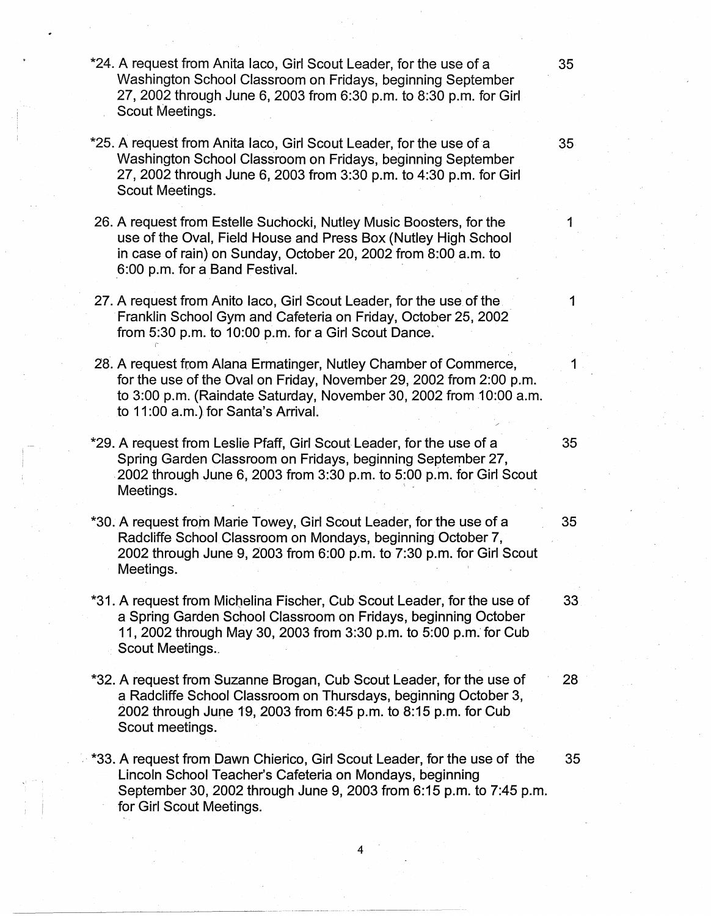- \*24. A request from Anita laco, Girl Scout Leader, for the use of a 35 Washington School Classroom on Fridays, beginning September 27, 2002 through June 6, 2003 from 6:30 p.m. to 8:30 p.m. for Girl Scout Meetings.
- \*25. A request from Anita laco, Girl Scout Leader, for the use of a 35 Washington School Classroom on Fridays, beginning September 27, 2002 through June 6, 2003 from 3:30 p.m. to 4:30 p.m. for Girl Scout Meetings.
- 26. A request from Estelle Suchocki, Nutley Music Boosters, for the 1 use of the Oval, Field House and Press Box (Nutley High School in case of rain) on Sunday, October 20, 2002 from 8:00 a.m. to 6:00 p.m. for a Band Festival.
- 27. A request from Anito Iaco, Girl Scout Leader, for the use of the 11 Franklin School Gym and Cafeteria on Friday, October 25, 2002 from 5:30 p.m. to 10:00 p.m. for a Girl Scout Dance.
- ' 28. A request from Alana Ermatinger, Nutley Chamber of Commerce, for the use of the Oval on Friday, November 29, 2002 from 2:00 p.m. to 3:00 p.m. (Raindate Saturday, November 30, 2002 from 10:00 a.m. to 11:00 a.m.) for Santa's Arrival.
- \*29. A request from Leslie Pfaff, Girl Scout Leader, for the use of a 35 Spring Garden Classroom on Fridays, beginning September 27, . 2002 through June 6, 2003 from 3:30 p.m. to 5:00 p.m. for Girl Scout Meetings.
- \*30. A request from Marie Towey, Girl Scout Leader, for the use of a 35 Radcliffe School Classroom on Mondays, beginning October 7, 2002 through June 9, 2003 from 6:00 p.m. to 7:30 p.m. for Girl Scout Meetings.
- \*31. A request from Michelina Fischer, Cub Scout Leader, for the use of 33 a Spring Garden School Classroom on Fridays, beginning October 11, 2002 through May 30, 2003 from 3:30 p.m. to 5:00 p.m. for Cub Scout Meetings.
- \*32. A request from Suzanne Brogan, Cub Scout Leader, for the use of 28 a Radcliffe School Classroom on Thursdays, beginning October 3, 2002 through June 19, 2003 from 6:45 p.m. to 8:15 p.m. for Cub Scout meetings.
- \*33. A request from Dawn Chierico, Girl Scout Leader, for the use of the 35 Lincoln School Teacher's Cafeteria on Mondays, beginning September 30, 2002 through June 9, 2003 from 6:15 p.m. to 7:45 p.m. for Girl Scout Meetings.

4